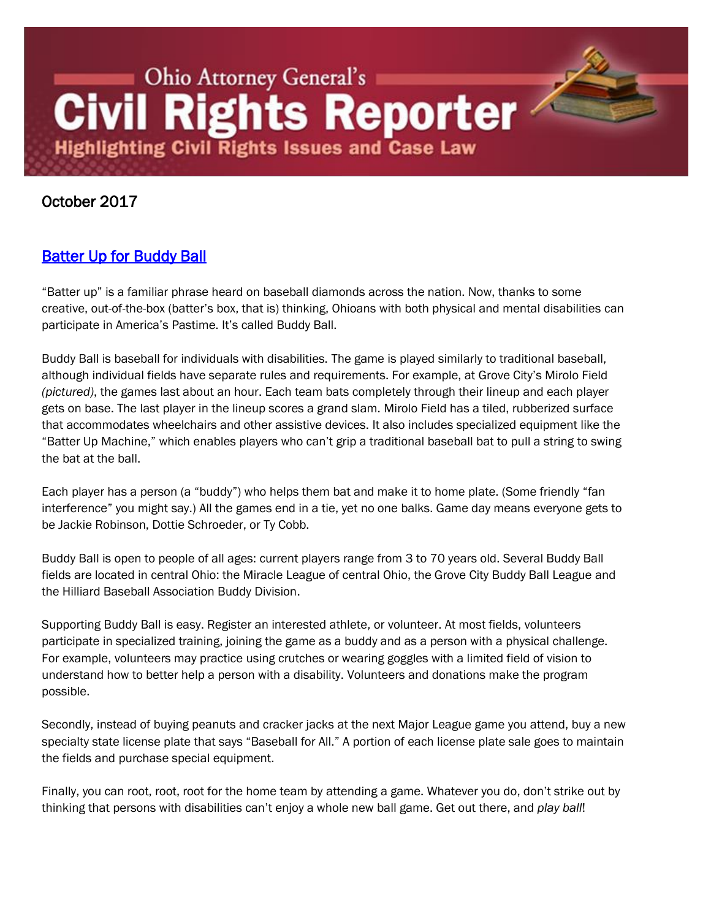# Ohio Attorney General's **Civil Rights Reporter Highlighting Civil Rights Issues and Case Law**

## October 2017

## [Batter Up for Buddy Ball](http://www.ohioattorneygeneral.gov/Media/Newsletters/Civil-Rights-Reporter/October-2017-(1)/Batter-Up-for-Buddy-Ball)

"Batter up" is a familiar phrase heard on baseball diamonds across the nation. Now, thanks to some creative, out-of-the-box (batter's box, that is) thinking, Ohioans with both physical and mental disabilities can participate in America's Pastime. It's called Buddy Ball.

Buddy Ball is baseball for individuals with disabilities. The game is played similarly to traditional baseball, although individual fields have separate rules and requirements. For example, at Grove City's Mirolo Field *(pictured)*, the games last about an hour. Each team bats completely through their lineup and each player gets on base. The last player in the lineup scores a grand slam. Mirolo Field has a tiled, rubberized surface that accommodates wheelchairs and other assistive devices. It also includes specialized equipment like the "Batter Up Machine," which enables players who can't grip a traditional baseball bat to pull a string to swing the bat at the ball.

Each player has a person (a "buddy") who helps them bat and make it to home plate. (Some friendly "fan interference" you might say.) All the games end in a tie, yet no one balks. Game day means everyone gets to be Jackie Robinson, Dottie Schroeder, or Ty Cobb.

Buddy Ball is open to people of all ages: current players range from 3 to 70 years old. Several Buddy Ball fields are located in central Ohio: the Miracle League of central Ohio, the Grove City Buddy Ball League and the Hilliard Baseball Association Buddy Division.

Supporting Buddy Ball is easy. Register an interested athlete, or volunteer. At most fields, volunteers participate in specialized training, joining the game as a buddy and as a person with a physical challenge. For example, volunteers may practice using crutches or wearing goggles with a limited field of vision to understand how to better help a person with a disability. Volunteers and donations make the program possible.

Secondly, instead of buying peanuts and cracker jacks at the next Major League game you attend, buy a new specialty state license plate that says "Baseball for All." A portion of each license plate sale goes to maintain the fields and purchase special equipment.

Finally, you can root, root, root for the home team by attending a game. Whatever you do, don't strike out by thinking that persons with disabilities can't enjoy a whole new ball game. Get out there, and *play ball*!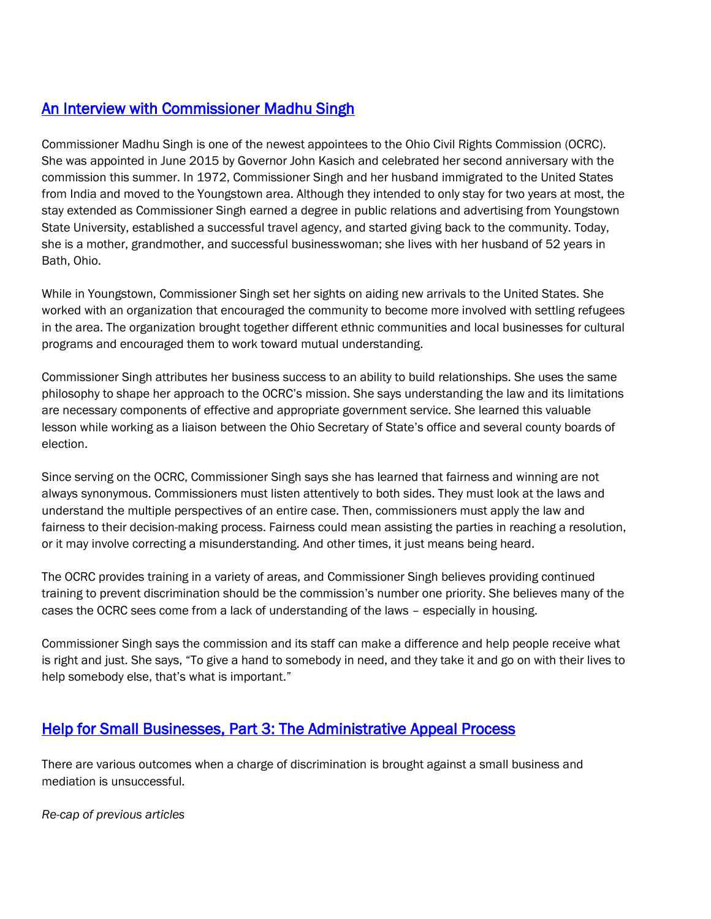## [An Interview with Commissioner Madhu Singh](http://www.ohioattorneygeneral.gov/Media/Newsletters/Civil-Rights-Reporter/October-2017-(1)/An-Interview-with-Commissioner-Madhu-Singh)

Commissioner Madhu Singh is one of the newest appointees to the Ohio Civil Rights Commission (OCRC). She was appointed in June 2015 by Governor John Kasich and celebrated her second anniversary with the commission this summer. In 1972, Commissioner Singh and her husband immigrated to the United States from India and moved to the Youngstown area. Although they intended to only stay for two years at most, the stay extended as Commissioner Singh earned a degree in public relations and advertising from Youngstown State University, established a successful travel agency, and started giving back to the community. Today, she is a mother, grandmother, and successful businesswoman; she lives with her husband of 52 years in Bath, Ohio.

While in Youngstown, Commissioner Singh set her sights on aiding new arrivals to the United States. She worked with an organization that encouraged the community to become more involved with settling refugees in the area. The organization brought together different ethnic communities and local businesses for cultural programs and encouraged them to work toward mutual understanding.

Commissioner Singh attributes her business success to an ability to build relationships. She uses the same philosophy to shape her approach to the OCRC's mission. She says understanding the law and its limitations are necessary components of effective and appropriate government service. She learned this valuable lesson while working as a liaison between the Ohio Secretary of State's office and several county boards of election.

Since serving on the OCRC, Commissioner Singh says she has learned that fairness and winning are not always synonymous. Commissioners must listen attentively to both sides. They must look at the laws and understand the multiple perspectives of an entire case. Then, commissioners must apply the law and fairness to their decision-making process. Fairness could mean assisting the parties in reaching a resolution, or it may involve correcting a misunderstanding. And other times, it just means being heard.

The OCRC provides training in a variety of areas, and Commissioner Singh believes providing continued training to prevent discrimination should be the commission's number one priority. She believes many of the cases the OCRC sees come from a lack of understanding of the laws – especially in housing.

Commissioner Singh says the commission and its staff can make a difference and help people receive what is right and just. She says, "To give a hand to somebody in need, and they take it and go on with their lives to help somebody else, that's what is important."

## [Help for Small Businesses, Part 3: The Administrative Appeal Process](http://www.ohioattorneygeneral.gov/Media/Newsletters/Civil-Rights-Reporter/October-2017-(1)/Help-for-Small-Businesses-Part-3-The-Administrat)

There are various outcomes when a charge of discrimination is brought against a small business and mediation is unsuccessful.

*Re-cap of previous articles*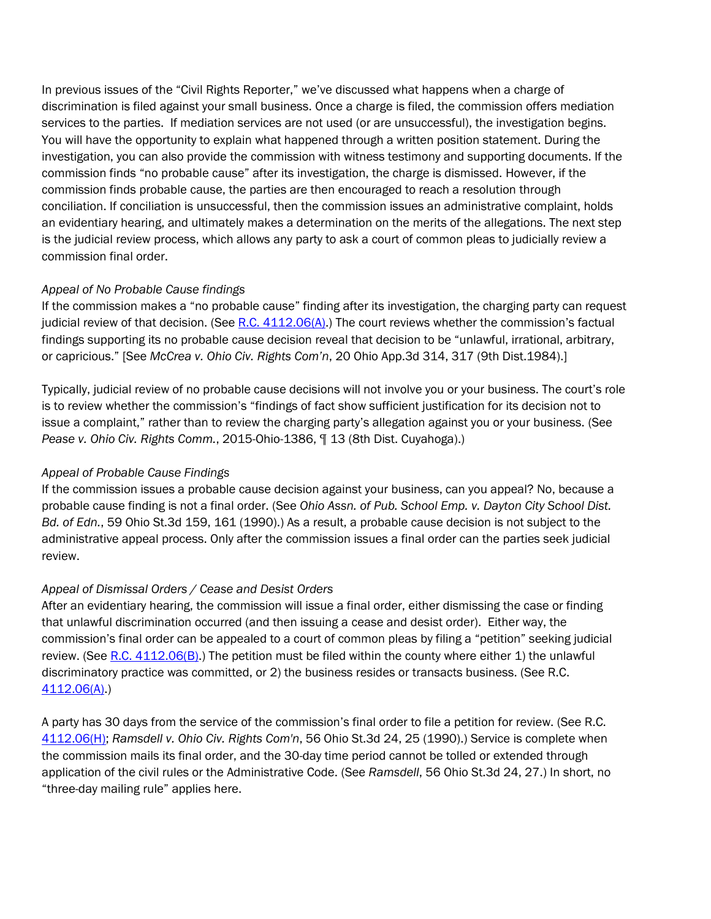In previous issues of the "Civil Rights Reporter," we've discussed what happens when a charge of discrimination is filed against your small business. Once a charge is filed, the commission offers mediation services to the parties. If mediation services are not used (or are unsuccessful), the investigation begins. You will have the opportunity to explain what happened through a written position statement. During the investigation, you can also provide the commission with witness testimony and supporting documents. If the commission finds "no probable cause" after its investigation, the charge is dismissed. However, if the commission finds probable cause, the parties are then encouraged to reach a resolution through conciliation. If conciliation is unsuccessful, then the commission issues an administrative complaint, holds an evidentiary hearing, and ultimately makes a determination on the merits of the allegations. The next step is the judicial review process, which allows any party to ask a court of common pleas to judicially review a commission final order.

### *Appeal of No Probable Cause findings*

If the commission makes a "no probable cause" finding after its investigation, the charging party can request judicial review of that decision. (See R.C.  $4112.06(A)$ .) The court reviews whether the commission's factual findings supporting its no probable cause decision reveal that decision to be "unlawful, irrational, arbitrary, or capricious." [See *McCrea v. Ohio Civ. Rights Com'n*, 20 Ohio App.3d 314, 317 (9th Dist.1984).]

Typically, judicial review of no probable cause decisions will not involve you or your business. The court's role is to review whether the commission's "findings of fact show sufficient justification for its decision not to issue a complaint," rather than to review the charging party's allegation against you or your business. (See *Pease v. Ohio Civ. Rights Comm.*, 2015-Ohio-1386, ¶ 13 (8th Dist. Cuyahoga).)

### *Appeal of Probable Cause Findings*

If the commission issues a probable cause decision against your business, can you appeal? No, because a probable cause finding is not a final order. (See *Ohio Assn. of Pub. School Emp. v. Dayton City School Dist. Bd. of Edn.*, 59 Ohio St.3d 159, 161 (1990).) As a result, a probable cause decision is not subject to the administrative appeal process. Only after the commission issues a final order can the parties seek judicial review.

### *Appeal of Dismissal Orders / Cease and Desist Orders*

After an evidentiary hearing, the commission will issue a final order, either dismissing the case or finding that unlawful discrimination occurred (and then issuing a cease and desist order). Either way, the commission's final order can be appealed to a court of common pleas by filing a "petition" seeking judicial review. (See R.C.  $4112.06(B)$ .) The petition must be filed within the county where either 1) the unlawful discriminatory practice was committed, or 2) the business resides or transacts business. (See R.C. [4112.06\(A\).](http://codes.ohio.gov/orc/4112.06))

A party has 30 days from the service of the commission's final order to file a petition for review. (See R.C. [4112.06\(H\);](http://codes.ohio.gov/orc/4112.06) *Ramsdell v. Ohio Civ. Rights Com'n*, 56 Ohio St.3d 24, 25 (1990).) Service is complete when the commission mails its final order, and the 30-day time period cannot be tolled or extended through application of the civil rules or the Administrative Code. (See *Ramsdell*, 56 Ohio St.3d 24, 27.) In short, no "three-day mailing rule" applies here.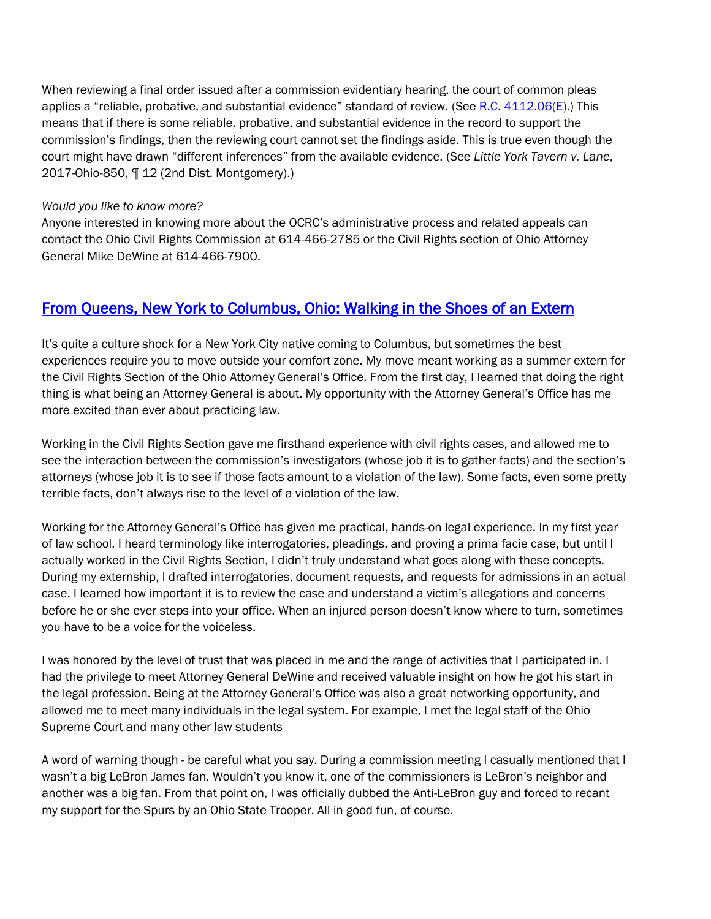When reviewing a final order issued after a commission evidentiary hearing, the court of common pleas applies a "reliable, probative, and substantial evidence" standard of review. (See [R.C. 4112.06\(E\).](http://codes.ohio.gov/orc/4112.06)) This means that if there is some reliable, probative, and substantial evidence in the record to support the commission's findings, then the reviewing court cannot set the findings aside. This is true even though the court might have drawn "different inferences" from the available evidence. (See *Little York Tavern v. Lane*, 2017-Ohio-850, ¶ 12 (2nd Dist. Montgomery).)

#### *Would you like to know more?*

Anyone interested in knowing more about the OCRC's administrative process and related appeals can contact the Ohio Civil Rights Commission at 614-466-2785 or the Civil Rights section of Ohio Attorney General Mike DeWine at 614-466-7900.

## [From Queens, New York to Columbus, Ohio: Walking in the Shoes of an Extern](http://www.ohioattorneygeneral.gov/Media/Newsletters/Civil-Rights-Reporter/October-2017-(1)/From-Queens-New-York-to-Columbus-Ohio-Walking-i)

It's quite a culture shock for a New York City native coming to Columbus, but sometimes the best experiences require you to move outside your comfort zone. My move meant working as a summer extern for the Civil Rights Section of the Ohio Attorney General's Office. From the first day, I learned that doing the right thing is what being an Attorney General is about. My opportunity with the Attorney General's Office has me more excited than ever about practicing law.

Working in the Civil Rights Section gave me firsthand experience with civil rights cases, and allowed me to see the interaction between the commission's investigators (whose job it is to gather facts) and the section's attorneys (whose job it is to see if those facts amount to a violation of the law). Some facts, even some pretty terrible facts, don't always rise to the level of a violation of the law.

Working for the Attorney General's Office has given me practical, hands-on legal experience. In my first year of law school, I heard terminology like interrogatories, pleadings, and proving a prima facie case, but until I actually worked in the Civil Rights Section, I didn't truly understand what goes along with these concepts. During my externship, I drafted interrogatories, document requests, and requests for admissions in an actual case. I learned how important it is to review the case and understand a victim's allegations and concerns before he or she ever steps into your office. When an injured person doesn't know where to turn, sometimes you have to be a voice for the voiceless.

I was honored by the level of trust that was placed in me and the range of activities that I participated in. I had the privilege to meet Attorney General DeWine and received valuable insight on how he got his start in the legal profession. Being at the Attorney General's Office was also a great networking opportunity, and allowed me to meet many individuals in the legal system. For example, I met the legal staff of the Ohio Supreme Court and many other law students

A word of warning though - be careful what you say. During a commission meeting I casually mentioned that I wasn't a big LeBron James fan. Wouldn't you know it, one of the commissioners is LeBron's neighbor and another was a big fan. From that point on, I was officially dubbed the Anti-LeBron guy and forced to recant my support for the Spurs by an Ohio State Trooper. All in good fun, of course.